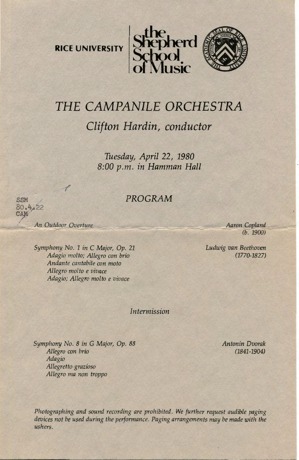**RICE UNIVERSITY** 





# *THE CAMPANILE ORCHESTRA Clifton Hardin, conductor*

*Tuesday, April* 22, *1980 8:00p.m. in Hamman Hall* 

## *PROGRAM*

An Outdoor Overture

**SSM**  $80.4122$ CAM

.,.-' I

*Symphony No. 1 in* C *Major, Op. 21 Adagio molto; Allegro con brio Andante cantabile con mota Allegro mol to e vivace Adagio; Allegro molto e vivace* 

Aaron Copland  $(b. 1900)$ 

*Ludwig van Beethoven (1770-1827)* 

*Intermission* 

*Symphony No. 8 in* G *Major, Op. 88 Allegro con brio Adagio Allegretto grazioso Allegro rna non troppo* 

*An ton in Dvorak (1841-1904)* 

*Photographing and sound recording are prohibited. We further request audible paging devices not be used during the performance. Paging arrangements may be made with the ushers.*